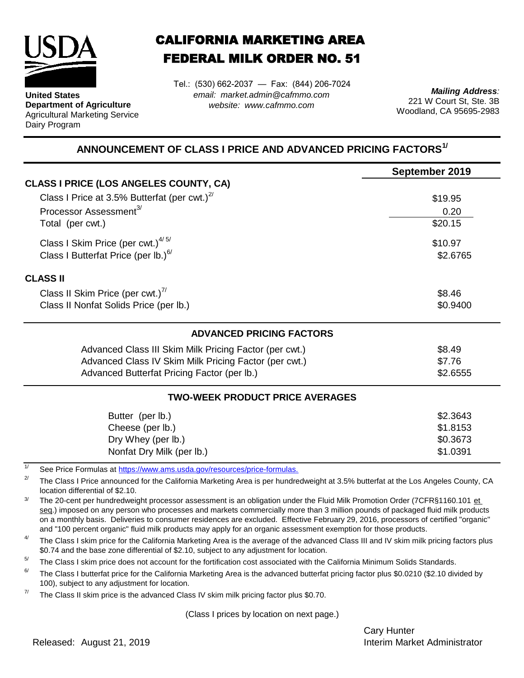

**United States Department of Agriculture** Agricultural Marketing Service Dairy Program

## CALIFORNIA MARKETING AREA FEDERAL MILK ORDER NO. 51

Tel.: (530) 662-2037 — Fax: (844) 206-7024 *email: market.admin@cafmmo.com website: www.cafmmo.com*

*Mailing Address:* 221 W Court St, Ste. 3B Woodland, CA 95695-2983

## **ANNOUNCEMENT OF CLASS I PRICE AND ADVANCED PRICING FACTORS1/**

|                                                                                | September 2019 |  |  |
|--------------------------------------------------------------------------------|----------------|--|--|
| <b>CLASS I PRICE (LOS ANGELES COUNTY, CA)</b>                                  |                |  |  |
| Class I Price at 3.5% Butterfat (per cwt.) $2^7$                               | \$19.95        |  |  |
| Processor Assessment <sup>3/</sup>                                             | 0.20           |  |  |
| Total (per cwt.)                                                               | \$20.15        |  |  |
| Class I Skim Price (per cwt.) $4/5/$                                           | \$10.97        |  |  |
| Class I Butterfat Price (per lb.) $6/$                                         | \$2.6765       |  |  |
| <b>CLASS II</b>                                                                |                |  |  |
| Class II Skim Price (per cwt.) <sup>7/</sup>                                   | \$8.46         |  |  |
| Class II Nonfat Solids Price (per lb.)                                         | \$0.9400       |  |  |
| <b>ADVANCED PRICING FACTORS</b>                                                |                |  |  |
| Advanced Class III Skim Milk Pricing Factor (per cwt.)                         | \$8.49         |  |  |
| Advanced Class IV Skim Milk Pricing Factor (per cwt.)                          | \$7.76         |  |  |
| Advanced Butterfat Pricing Factor (per lb.)                                    | \$2.6555       |  |  |
| <b>TWO-WEEK PRODUCT PRICE AVERAGES</b>                                         |                |  |  |
| Butter (per lb.)                                                               | \$2.3643       |  |  |
| Cheese (per lb.)                                                               | \$1.8153       |  |  |
| Dry Whey (per lb.)                                                             | \$0.3673       |  |  |
| Nonfat Dry Milk (per lb.)                                                      | \$1.0391       |  |  |
| 1/<br>See Price Formulas at https://www.ams.usda.gov/resources/price-formulas. |                |  |  |

2/ The Class I Price announced for the California Marketing Area is per hundredweight at 3.5% butterfat at the Los Angeles County, CA location differential of \$2.10.

3/ The 20-cent per hundredweight processor assessment is an obligation under the Fluid Milk Promotion Order (7CFR§1160.101 et seg.) imposed on any person who processes and markets commercially more than 3 million pounds of packaged fluid milk products on a monthly basis. Deliveries to consumer residences are excluded. Effective February 29, 2016, processors of certified "organic" and "100 percent organic" fluid milk products may apply for an organic assessment exemption for those products.

4/ The Class I skim price for the California Marketing Area is the average of the advanced Class III and IV skim milk pricing factors plus \$0.74 and the base zone differential of \$2.10, subject to any adjustment for location.

 $5/$ The Class I skim price does not account for the fortification cost associated with the California Minimum Solids Standards.

6/ The Class I butterfat price for the California Marketing Area is the advanced butterfat pricing factor plus \$0.0210 (\$2.10 divided by 100), subject to any adjustment for location.

7/ The Class II skim price is the advanced Class IV skim milk pricing factor plus \$0.70.

(Class I prices by location on next page.)